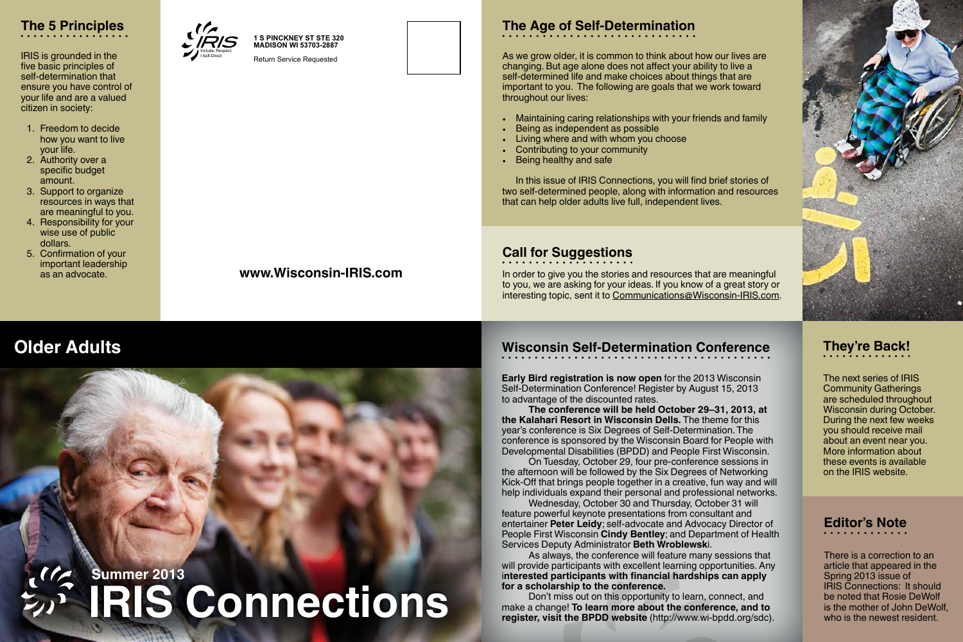## **www.Wisconsin-IRIS.com**

# **Wisconsin Self-Determination Conference**

**Early Bird registration is now open** for the 2013 Wisconsin Self-Determination Conference! Register by August 15, 2013 to advantage of the discounted rates.

**The conference will be held October 29–31, 2013, at the Kalahari Resort in Wisconsin Dells.** The theme for this year's conference is Six Degrees of Self-Determination. The conference is sponsored by the Wisconsin Board for People with Developmental Disabilities (BPDD) and People First Wisconsin. On Tuesday, October 29, four pre-conference sessions in the afternoon will be followed by the Six Degrees of Networking Kick-Off that brings people together in a creative, fun way and will help individuals expand their personal and professional networks. Wednesday, October 30 and Thursday, October 31 will feature powerful keynote presentations from consultant and entertainer **Peter Leidy**; self-advocate and Advocacy Director of People First Wisconsin **Cindy Bentley**; and Department of Health Services Deputy Administrator **Beth Wroblewsk**i.

As always, the conference will feature many sessions that will provide participants with excellent learning opportunities. Any i**nterested participants with financial hardships can apply for a scholarship to the conference.**

Don't miss out on this opportunity to learn, connect, and make a change! **To learn more about the conference, and to register, visit the BPDD website** (http://www.wi-bpdd.org/sdc).

# **They're Back!**

The next series of IRIS Community Gatherings are scheduled throughout Wisconsin during October. During the next few weeks you should receive mail about an event near you. More information about these events is available on the IRIS website.

## **Call for Suggestions**

In order to give you the stories and resources that are meaningful to you, we are asking for your ideas. If you know of a great story or interesting topic, sent it to Communications@Wisconsin-IRIS.com.

**IRIS Connections**

**Summer 2013**





IRIS is grounded in the five basic principles of self-determination that ensure you have control of your life and are a valued citizen in society:

- 1. Freedom to decide how you want to live your life.
- 2. Authority over a specific budget amount.
- 3. Support to organize resources in ways that are meaningful to you.
- 4. Responsibility for your wise use of public dollars.
- 5. Confirmation of your important leadership as an advocate.

# **Older Adults**



As we grow older, it is common to think about how our lives are changing. But age alone does not affect your ability to live a self-determined life and make choices about things that are important to you. The following are goals that we work toward throughout our lives:

- Maintaining caring relationships with your friends and family
- Being as independent as possible
- Living where and with whom you choose
- Contributing to your community
- Being healthy and safe

In this issue of IRIS Connections, you will find brief stories of two self-determined people, along with information and resources that can help older adults live full, independent lives.

# **Editor's Note**

There is a correction to an article that appeared in the Spring 2013 issue of IRIS Connections: It should be noted that Rosie DeWolf is the mother of John DeWolf, who is the newest resident.

**1 S PINCKNEY ST STE 320 MADISON WI 53703-2887**

Return Service Requested